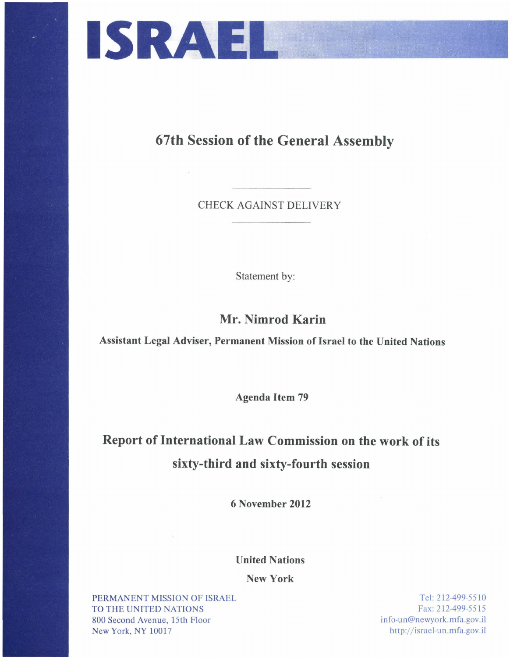

**67th Session of the General Assembly** 

CHECK AGAINST DELIVERY

Statement by:

**Mr. Nimrod Karin** 

**Assistant Legal Adviser, Permanent Mission of Israel to the United Nations** 

Agenda I tem 79

## **Report of International Law Commission on the work of its sixty-third and sixty-fourth session**

**6 November 2012** 

**United Nations** 

**New York** 

PERMANENT MISSION OF ISRAEL TO THE UNITED NATIONS 800 Second Avenue, 15th Floor New York, NY 10017

Tel: 212-499-5510 Fax: 212-499-5515 info-un@newyork.mfa.gov.il http://isracl-un.mfa.gov.il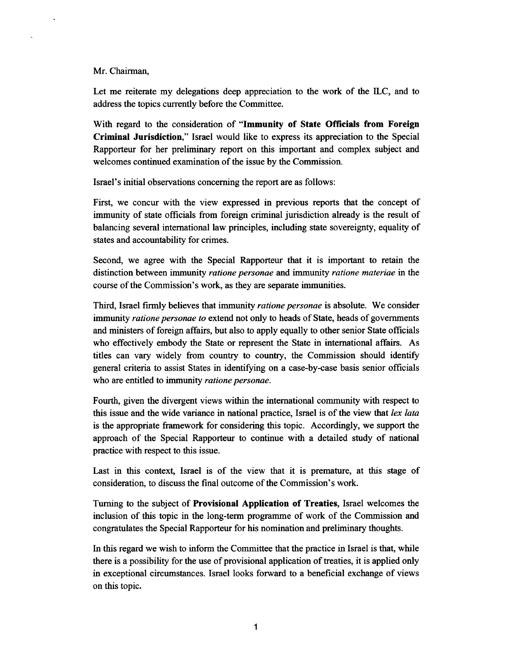Mr. Chairman,

Let me reiterate my delegations deep appreciation to the work of the ILC, and to address the topics currently before the Committee.

With regard to the consideration of **"Immunity of State Officials from Foreign Criminal Jurisdiction,"** Israel would like to express its appreciation to the Special Rapporteur for her preliminary report on this important and complex subject and welcomes continued examination of the issue by the Commission.

Israel's initial observations concerning the report are as follows:

First, we concur with the view expressed in previous reports that the concept of immunity of state officials from foreign criminal jurisdiction already is the result of balancing several international law principles, including state sovereignty, equality of states and accountability for crimes.

Second, we agree with the Special Rapporteur that it is important to retain the distinction between immunity *ratione personae* and immunity *ratione materiae* in the course of the Commission's work, as they are separate immunities.

Third, Israel firmly believes that immunity *ratione personae* is absolute. We consider immunity *ratione personae to* extend not only to heads of State, heads of governments and ministers of foreign affairs, but also to apply equally to other senior State officials who effectively embody the State or represent the State in international affairs. As titles can vary widely from country to country, the Commission should identify general criteria to assist States in identifying on a case-by-case basis senior officials who are entitled to immunity *ratione personae.* 

Fourth, given the divergent views within the international community with respect to this issue and the wide variance in national practice, Israel is of the view that */ex lata*  is the appropriate framework for considering this topic. Accordingly, we support the approach of the Special Rapporteur to continue with a detailed study of national practice with respect to this issue.

Last in this context, Israel is of the view that it is premature, at this stage of consideration, to discuss the final outcome of the Commission's work.

Turning to the subject of **Provisional Application of Treaties,** Israel welcomes the inclusion of this topic in the long-term programme of work of the Commission and congratulates the Special Rapporteur for his nomination and preliminary thoughts.

In this regard we wish to inform the Committee that the practice in Israel is that, while there is a possibility for the use of provisional application of treaties, it is applied only in exceptional circumstances. Israel looks forward to a beneficial exchange of views on this topic.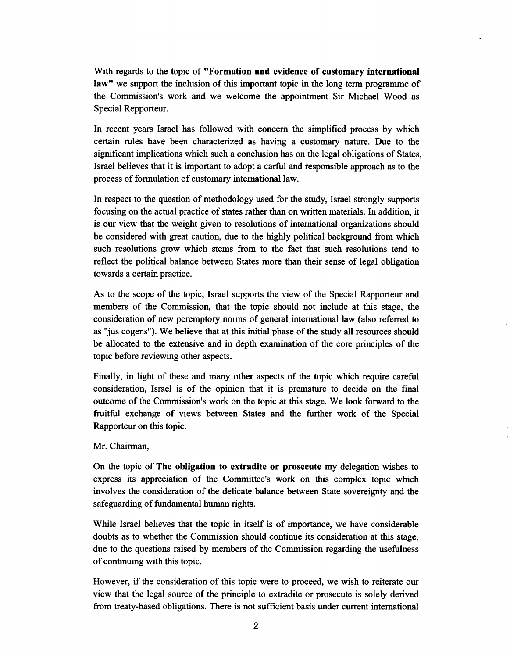With regards to the topic of **"Formation and evidence of customary international law"** we support the inclusion of this important topic in the long term programme of the Commission's work and we welcome the appointment Sir Michael Wood as Special Repporteur.

In recent years Israel has followed with concern the simplified process by which certain rules have been characterized as having a customary nature. Due to the significant implications which such a conclusion has on the legal obligations of States, Israel believes that it is important to adopt a earful and responsible approach as to the process of formulation of customary international law.

In respect to the question of methodology used for the study, Israel strongly supports focusing on the actual practice of states rather than on written materials. In addition, it is our view that the weight given to resolutions of international organizations should be considered with great caution, due to the highly political background from which such resolutions grow which stems from to the fact that such resolutions tend to reflect the political balance between States more than their sense of legal obligation towards a certain practice.

As to the scope of the topic, Israel supports the view of the Special Rapporteur and members of the Commission, that the topic should not include at this stage, the consideration of new peremptory norms of general international law (also referred to as "jus cogens"). We believe that at this initial phase of the study all resources should be allocated to the extensive and in depth examination of the core principles of the topic before reviewing other aspects.

Finally, in light of these and many other aspects of the topic which require careful consideration, Israel is of the opinion that it is premature to decide on the final outcome of the Commission's work on the topic at this stage. We look forward to the fruitful exchange of views between States and the further work of the Special Rapporteur on this topic.

## Mr. Chairman,

On the topic of **The obligation to extradite or prosecute** my delegation wishes to express its appreciation of the Committee's work on this complex topic which involves the consideration of the delicate balance between State sovereignty and the safeguarding of fundamental human rights.

While Israel believes that the topic in itself is of importance, we have considerable doubts as to whether the Commission should continue its consideration at this stage, due to the questions raised by members of the Commission regarding the usefulness of continuing with this topic.

However, if the consideration of this topic were to proceed, we wish to reiterate our view that the legal source of the principle to extradite or prosecute is solely derived from treaty-based obligations. There is not sufficient basis under current international